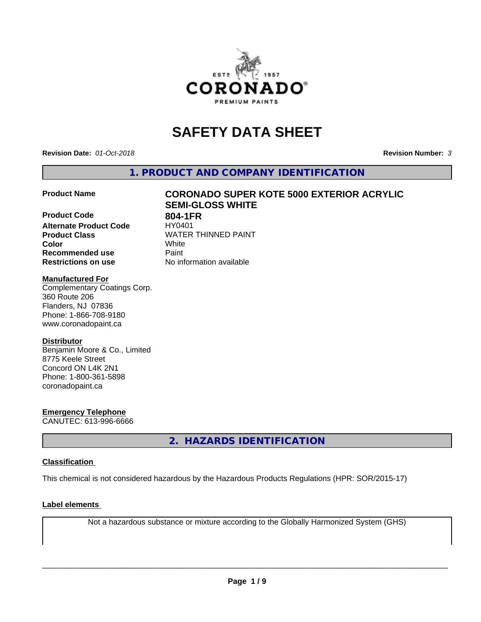

# **SAFETY DATA SHEET**

**Revision Date:** *01-Oct-2018* **Revision Number:** *3*

**1. PRODUCT AND COMPANY IDENTIFICATION**

**Product Code 804-1FR**<br>**Alternate Product Code HY0401 Alternate Product Code Product Class**<br>
Color<br>
White<br>
White **Color** White **Recommended use Caint Restrictions on use** No information available

# **Product Name CORONADO SUPER KOTE 5000 EXTERIOR ACRYLIC SEMI-GLOSS WHITE**

## **Manufactured For**

Complementary Coatings Corp. 360 Route 206 Flanders, NJ 07836 Phone: 1-866-708-9180 www.coronadopaint.ca

# **Distributor**

Benjamin Moore & Co., Limited 8775 Keele Street Concord ON L4K 2N1 Phone: 1-800-361-5898 coronadopaint.ca

**Emergency Telephone** CANUTEC: 613-996-6666

**2. HAZARDS IDENTIFICATION**

# **Classification**

This chemical is not considered hazardous by the Hazardous Products Regulations (HPR: SOR/2015-17)

## **Label elements**

Not a hazardous substance or mixture according to the Globally Harmonized System (GHS)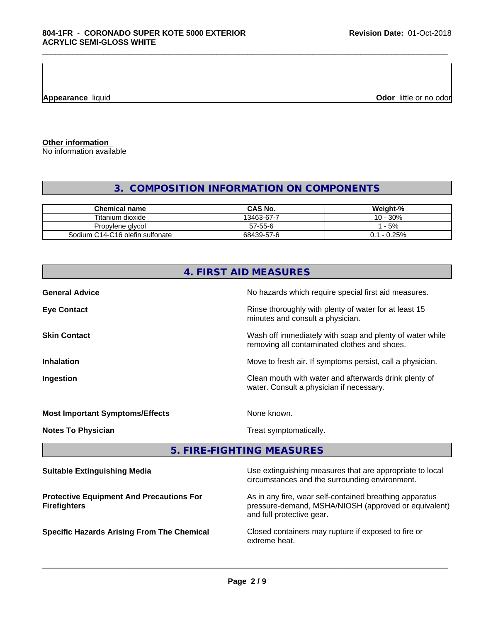**Appearance** liquid **Odor** little or no odor

**Other information**

No information available

# **3. COMPOSITION INFORMATION ON COMPONENTS**

\_\_\_\_\_\_\_\_\_\_\_\_\_\_\_\_\_\_\_\_\_\_\_\_\_\_\_\_\_\_\_\_\_\_\_\_\_\_\_\_\_\_\_\_\_\_\_\_\_\_\_\_\_\_\_\_\_\_\_\_\_\_\_\_\_\_\_\_\_\_\_\_\_\_\_\_\_\_\_\_\_\_\_\_\_\_\_\_\_\_\_\_\_

| <b>Chemical name</b>            | CAS No.    | Weight-%            |
|---------------------------------|------------|---------------------|
| Titanium dioxide                | 13463-67-7 | 10 - 30%            |
| Propylene glycol                | 57-55-6    | - 5%                |
| Sodium C14-C16 olefin sulfonate | 68439-57-6 | 0.25%<br>$-1$<br>ັ. |

|                                                                        | 4. FIRST AID MEASURES                                                                                                                        |  |
|------------------------------------------------------------------------|----------------------------------------------------------------------------------------------------------------------------------------------|--|
| <b>General Advice</b>                                                  | No hazards which require special first aid measures.                                                                                         |  |
| <b>Eye Contact</b>                                                     | Rinse thoroughly with plenty of water for at least 15<br>minutes and consult a physician.                                                    |  |
| <b>Skin Contact</b>                                                    | Wash off immediately with soap and plenty of water while<br>removing all contaminated clothes and shoes.                                     |  |
| <b>Inhalation</b>                                                      | Move to fresh air. If symptoms persist, call a physician.                                                                                    |  |
| <b>Ingestion</b>                                                       | Clean mouth with water and afterwards drink plenty of<br>water. Consult a physician if necessary.                                            |  |
| <b>Most Important Symptoms/Effects</b>                                 | None known.                                                                                                                                  |  |
| <b>Notes To Physician</b>                                              | Treat symptomatically.                                                                                                                       |  |
|                                                                        | 5. FIRE-FIGHTING MEASURES                                                                                                                    |  |
| <b>Suitable Extinguishing Media</b>                                    | Use extinguishing measures that are appropriate to local<br>circumstances and the surrounding environment.                                   |  |
| <b>Protective Equipment And Precautions For</b><br><b>Firefighters</b> | As in any fire, wear self-contained breathing apparatus<br>pressure-demand, MSHA/NIOSH (approved or equivalent)<br>and full protective gear. |  |
| <b>Specific Hazards Arising From The Chemical</b>                      | Closed containers may rupture if exposed to fire or<br>extreme heat.                                                                         |  |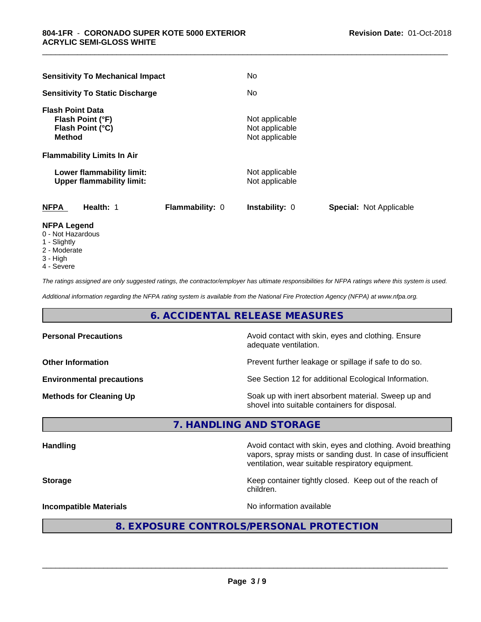| <b>Sensitivity To Mechanical Impact</b>                                          | No                                                 |
|----------------------------------------------------------------------------------|----------------------------------------------------|
| <b>Sensitivity To Static Discharge</b>                                           | No.                                                |
| <b>Flash Point Data</b><br>Flash Point (°F)<br>Flash Point (°C)<br><b>Method</b> | Not applicable<br>Not applicable<br>Not applicable |
| <b>Flammability Limits In Air</b>                                                |                                                    |
| Lower flammability limit:<br><b>Upper flammability limit:</b>                    | Not applicable<br>Not applicable                   |
| <b>NFPA</b><br>Health: 1<br>Flammability: 0                                      | Instability: 0<br><b>Special: Not Applicable</b>   |
| <b>NEDA LANANA</b>                                                               |                                                    |

\_\_\_\_\_\_\_\_\_\_\_\_\_\_\_\_\_\_\_\_\_\_\_\_\_\_\_\_\_\_\_\_\_\_\_\_\_\_\_\_\_\_\_\_\_\_\_\_\_\_\_\_\_\_\_\_\_\_\_\_\_\_\_\_\_\_\_\_\_\_\_\_\_\_\_\_\_\_\_\_\_\_\_\_\_\_\_\_\_\_\_\_\_

- **NFPA Legend** 0 - Not Hazardous
- 1 Slightly
- 2 Moderate
- 3 High
- 4 Severe

*The ratings assigned are only suggested ratings, the contractor/employer has ultimate responsibilities for NFPA ratings where this system is used.*

*Additional information regarding the NFPA rating system is available from the National Fire Protection Agency (NFPA) at www.nfpa.org.*

# **6. ACCIDENTAL RELEASE MEASURES**

| Avoid contact with skin, eyes and clothing. Ensure<br>adequate ventilation.                          |
|------------------------------------------------------------------------------------------------------|
| Prevent further leakage or spillage if safe to do so.                                                |
| See Section 12 for additional Ecological Information.                                                |
| Soak up with inert absorbent material. Sweep up and<br>shovel into suitable containers for disposal. |
|                                                                                                      |

# **7. HANDLING AND STORAGE**

| <b>Handling</b>                          | Avoid contact with skin, eyes and clothing. Avoid breathing<br>vapors, spray mists or sanding dust. In case of insufficient<br>ventilation, wear suitable respiratory equipment. |  |
|------------------------------------------|----------------------------------------------------------------------------------------------------------------------------------------------------------------------------------|--|
| <b>Storage</b>                           | Keep container tightly closed. Keep out of the reach of<br>children.                                                                                                             |  |
| <b>Incompatible Materials</b>            | No information available                                                                                                                                                         |  |
| 8. EXPOSURE CONTROLS/PERSONAL PROTECTION |                                                                                                                                                                                  |  |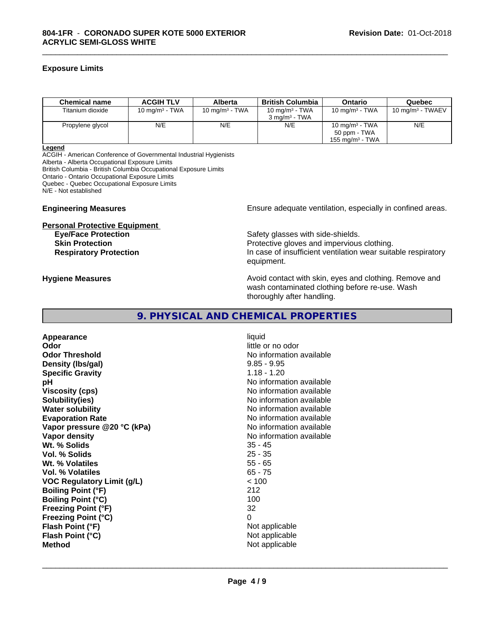# **Exposure Limits**

| <b>Chemical name</b> | <b>ACGIH TLV</b>  | Alberta           | British Columbia         | Ontario                    | Quebec                      |
|----------------------|-------------------|-------------------|--------------------------|----------------------------|-----------------------------|
| Titanium dioxide     | 10 mg/m $3$ - TWA | 10 mg/m $3$ - TWA | 10 mg/m $3$ - TWA        | 10 mg/m $3$ - TWA          | $10 \text{ mg/m}^3$ - TWAEV |
|                      |                   |                   | $3 \text{ ma/m}^3$ - TWA |                            |                             |
| Propylene glycol     | N/E               | N/E               | N/E                      | $10 \text{ mg/m}^3$ - TWA  | N/E                         |
|                      |                   |                   |                          | 50 ppm - TWA               |                             |
|                      |                   |                   |                          | $155 \text{ ma/m}^3$ - TWA |                             |

\_\_\_\_\_\_\_\_\_\_\_\_\_\_\_\_\_\_\_\_\_\_\_\_\_\_\_\_\_\_\_\_\_\_\_\_\_\_\_\_\_\_\_\_\_\_\_\_\_\_\_\_\_\_\_\_\_\_\_\_\_\_\_\_\_\_\_\_\_\_\_\_\_\_\_\_\_\_\_\_\_\_\_\_\_\_\_\_\_\_\_\_\_

#### **Legend**

ACGIH - American Conference of Governmental Industrial Hygienists Alberta - Alberta Occupational Exposure Limits British Columbia - British Columbia Occupational Exposure Limits Ontario - Ontario Occupational Exposure Limits Quebec - Quebec Occupational Exposure Limits N/E - Not established

# **Personal Protective Equipment**

**Engineering Measures Ensure** Ensure adequate ventilation, especially in confined areas.

**Eye/Face Protection Safety glasses with side-shields. Skin Protection Protection Protective gloves and impervious clothing. Respiratory Protection In case of insufficient ventilation wear suitable respiratory** equipment.

**Hygiene Measures Avoid contact with skin, eyes and clothing. Remove and Avoid contact with skin, eyes and clothing. Remove and Avoid contact with skin, eyes and clothing. Remove and** wash contaminated clothing before re-use. Wash thoroughly after handling.

# **9. PHYSICAL AND CHEMICAL PROPERTIES**

**Appearance** liquid **Odor** little or no odor **Odor Threshold** No information available **Density (lbs/gal)** 9.85 - 9.95 **Specific Gravity** 1.18 - 1.20 **pH** No information available **Viscosity (cps)** No information available **Solubility(ies)** No information available **Water solubility** No information available **Evaporation Rate No information available No information available Vapor pressure @20 °C (kPa)** No information available **Vapor density**<br> **We Solids**<br>
We Solid With the Solid Support of the Minimal Support of the Minimal Support of the Minimal Support of the With Minimal Support of the With Support of the With Support of the With Support of Wt. % Solids **Vol. % Solids** 25 - 35 **Wt. % Volatiles** 55 - 65 **Vol. % Volatiles** 65 - 75 **VOC Regulatory Limit (g/L)** < 100 **Boiling Point (°F)** 212 **Boiling Point (°C)** 100 **Freezing Point (°F)** 32 **Freezing Point (°C)** 0 **Flash Point (°F)** Not applicable **Flash Point**  $(^{\circ}C)$  Not applicable **Method** Not applicable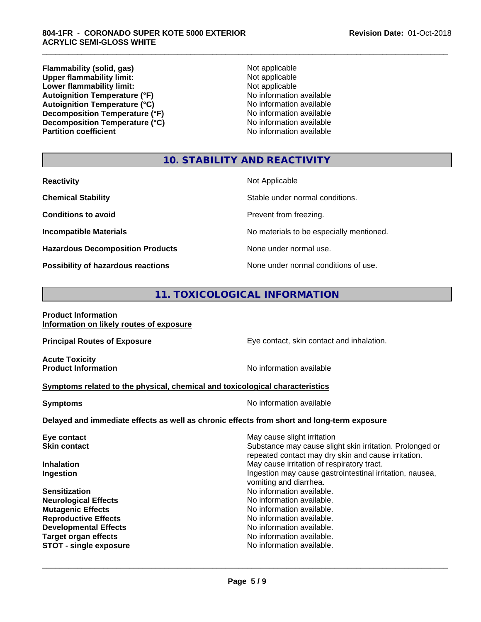**Flammability (solid, gas)**<br> **Commability limit:**<br>
Upper flammability limit:<br>
Not applicable **Upper flammability limit:**<br> **Lower flammability limit:**<br>
Not applicable<br>
Not applicable **Lower flammability limit:**<br> **Autoignition Temperature (°F)**<br>
Mo information available **Autoignition Temperature (°F)**<br> **Autoignition Temperature (°C)** No information available Autoignition Temperature (°C)<br>
Decomposition Temperature (°F)<br>
No information available **Decomposition Temperature (°F) Decomposition Temperature (°C)** No information available<br> **Partition coefficient Partition available** 

**No information available** 

\_\_\_\_\_\_\_\_\_\_\_\_\_\_\_\_\_\_\_\_\_\_\_\_\_\_\_\_\_\_\_\_\_\_\_\_\_\_\_\_\_\_\_\_\_\_\_\_\_\_\_\_\_\_\_\_\_\_\_\_\_\_\_\_\_\_\_\_\_\_\_\_\_\_\_\_\_\_\_\_\_\_\_\_\_\_\_\_\_\_\_\_\_

# **10. STABILITY AND REACTIVITY**

| <b>Reactivity</b>                         | Not Applicable                           |
|-------------------------------------------|------------------------------------------|
| <b>Chemical Stability</b>                 | Stable under normal conditions.          |
| <b>Conditions to avoid</b>                | Prevent from freezing.                   |
| <b>Incompatible Materials</b>             | No materials to be especially mentioned. |
| <b>Hazardous Decomposition Products</b>   | None under normal use.                   |
| <b>Possibility of hazardous reactions</b> | None under normal conditions of use.     |

# **11. TOXICOLOGICAL INFORMATION**

**Product Information Information on likely routes of exposure**

**Principal Routes of Exposure Exposure** Eye contact, skin contact and inhalation.

**Acute Toxicity<br>Product Information** 

**No information available** 

# **Symptoms related to the physical,chemical and toxicological characteristics**

**Symptoms** No information available

 $\overline{\phantom{a}}$  ,  $\overline{\phantom{a}}$  ,  $\overline{\phantom{a}}$  ,  $\overline{\phantom{a}}$  ,  $\overline{\phantom{a}}$  ,  $\overline{\phantom{a}}$  ,  $\overline{\phantom{a}}$  ,  $\overline{\phantom{a}}$  ,  $\overline{\phantom{a}}$  ,  $\overline{\phantom{a}}$  ,  $\overline{\phantom{a}}$  ,  $\overline{\phantom{a}}$  ,  $\overline{\phantom{a}}$  ,  $\overline{\phantom{a}}$  ,  $\overline{\phantom{a}}$  ,  $\overline{\phantom{a}}$ 

# **Delayed and immediate effects as well as chronic effects from short and long-term exposure**

| Eye contact                   | May cause slight irritation                                                                                     |
|-------------------------------|-----------------------------------------------------------------------------------------------------------------|
| <b>Skin contact</b>           | Substance may cause slight skin irritation. Prolonged or<br>repeated contact may dry skin and cause irritation. |
| <b>Inhalation</b>             | May cause irritation of respiratory tract.                                                                      |
| Ingestion                     | Ingestion may cause gastrointestinal irritation, nausea,<br>vomiting and diarrhea.                              |
| <b>Sensitization</b>          | No information available.                                                                                       |
| <b>Neurological Effects</b>   | No information available.                                                                                       |
| <b>Mutagenic Effects</b>      | No information available.                                                                                       |
| <b>Reproductive Effects</b>   | No information available.                                                                                       |
| <b>Developmental Effects</b>  | No information available.                                                                                       |
| <b>Target organ effects</b>   | No information available.                                                                                       |
| <b>STOT - single exposure</b> | No information available.                                                                                       |
|                               |                                                                                                                 |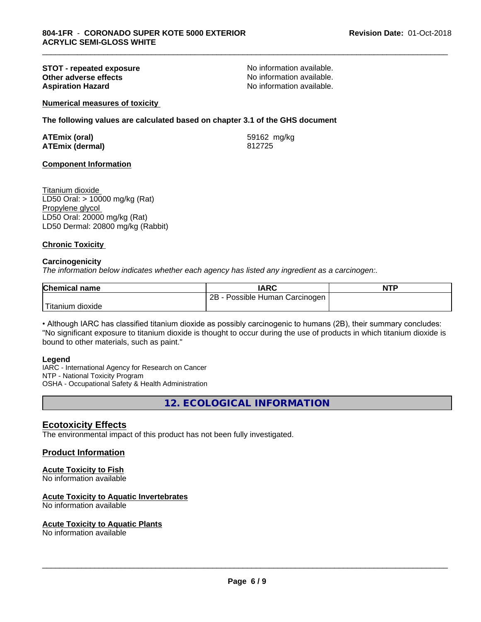# **STOT - repeated exposure and the set of the STOT - repeated exposure**<br> **Other adverse effects CONS CONS CONS NO** information available. **Other adverse effects<br>Aspiration Hazard**

No information available.

\_\_\_\_\_\_\_\_\_\_\_\_\_\_\_\_\_\_\_\_\_\_\_\_\_\_\_\_\_\_\_\_\_\_\_\_\_\_\_\_\_\_\_\_\_\_\_\_\_\_\_\_\_\_\_\_\_\_\_\_\_\_\_\_\_\_\_\_\_\_\_\_\_\_\_\_\_\_\_\_\_\_\_\_\_\_\_\_\_\_\_\_\_

**Numerical measures of toxicity**

**The following values are calculated based on chapter 3.1 of the GHS document**

| <b>ATEmix (oral)</b>   | 59162 mg/kg |
|------------------------|-------------|
| <b>ATEmix (dermal)</b> | 812725      |

# **Component Information**

Titanium dioxide LD50 Oral: > 10000 mg/kg (Rat) Propylene glycol LD50 Oral: 20000 mg/kg (Rat) LD50 Dermal: 20800 mg/kg (Rabbit)

# **Chronic Toxicity**

# **Carcinogenicity**

*The information below indicateswhether each agency has listed any ingredient as a carcinogen:.*

| <b>Chemical name</b>    | <b>IARC</b>                       | <b>NTP</b> |
|-------------------------|-----------------------------------|------------|
|                         | 2B<br>Possible Human Carcinogen ! |            |
| Titanium J<br>, dioxide |                                   |            |

• Although IARC has classified titanium dioxide as possibly carcinogenic to humans (2B), their summary concludes: "No significant exposure to titanium dioxide is thought to occur during the use of products in which titanium dioxide is bound to other materials, such as paint."

## **Legend**

IARC - International Agency for Research on Cancer NTP - National Toxicity Program OSHA - Occupational Safety & Health Administration

**12. ECOLOGICAL INFORMATION**

# **Ecotoxicity Effects**

The environmental impact of this product has not been fully investigated.

# **Product Information**

# **Acute Toxicity to Fish**

No information available

## **Acute Toxicity to Aquatic Invertebrates**

No information available

## **Acute Toxicity to Aquatic Plants**

No information available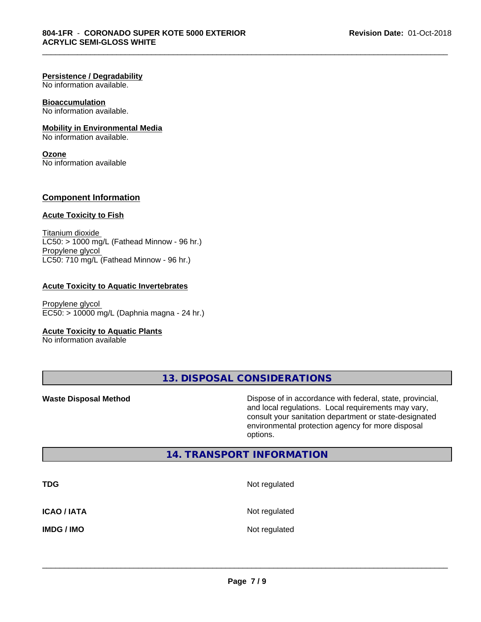#### **Persistence / Degradability**

No information available.

# **Bioaccumulation**

No information available.

# **Mobility in Environmental Media**

No information available.

# **Ozone**

No information available

# **Component Information**

#### **Acute Toxicity to Fish**

Titanium dioxide  $LCS0:$  > 1000 mg/L (Fathead Minnow - 96 hr.) Propylene glycol LC50: 710 mg/L (Fathead Minnow - 96 hr.)

## **Acute Toxicity to Aquatic Invertebrates**

Propylene glycol EC50: > 10000 mg/L (Daphnia magna - 24 hr.)

## **Acute Toxicity to Aquatic Plants**

No information available

**13. DISPOSAL CONSIDERATIONS**

\_\_\_\_\_\_\_\_\_\_\_\_\_\_\_\_\_\_\_\_\_\_\_\_\_\_\_\_\_\_\_\_\_\_\_\_\_\_\_\_\_\_\_\_\_\_\_\_\_\_\_\_\_\_\_\_\_\_\_\_\_\_\_\_\_\_\_\_\_\_\_\_\_\_\_\_\_\_\_\_\_\_\_\_\_\_\_\_\_\_\_\_\_

**Waste Disposal Method Dispose of in accordance with federal, state, provincial,** and local regulations. Local requirements may vary, consult your sanitation department or state-designated environmental protection agency for more disposal options.

# **14. TRANSPORT INFORMATION**

| <b>TDG</b>         | Not regulated |
|--------------------|---------------|
| <b>ICAO / IATA</b> | Not regulated |
| <b>IMDG / IMO</b>  | Not regulated |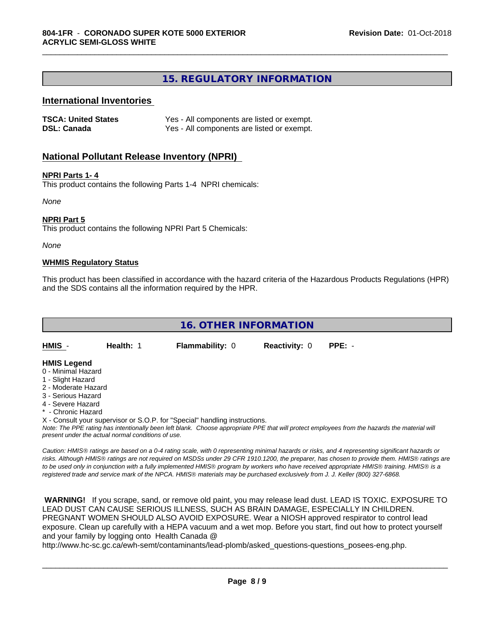# **15. REGULATORY INFORMATION**

\_\_\_\_\_\_\_\_\_\_\_\_\_\_\_\_\_\_\_\_\_\_\_\_\_\_\_\_\_\_\_\_\_\_\_\_\_\_\_\_\_\_\_\_\_\_\_\_\_\_\_\_\_\_\_\_\_\_\_\_\_\_\_\_\_\_\_\_\_\_\_\_\_\_\_\_\_\_\_\_\_\_\_\_\_\_\_\_\_\_\_\_\_

# **International Inventories**

| <b>TSCA: United States</b> | Yes - All components are listed or exempt. |
|----------------------------|--------------------------------------------|
| <b>DSL: Canada</b>         | Yes - All components are listed or exempt. |

# **National Pollutant Release Inventory (NPRI)**

#### **NPRI Parts 1- 4**

This product contains the following Parts 1-4 NPRI chemicals:

*None*

#### **NPRI Part 5**

This product contains the following NPRI Part 5 Chemicals:

*None*

#### **WHMIS Regulatory Status**

This product has been classified in accordance with the hazard criteria of the Hazardous Products Regulations (HPR) and the SDS contains all the information required by the HPR.

| 16. OTHER INFORMATION                                                                |           |                        |                      |          |  |  |  |
|--------------------------------------------------------------------------------------|-----------|------------------------|----------------------|----------|--|--|--|
| HMIS -                                                                               | Health: 1 | <b>Flammability: 0</b> | <b>Reactivity: 0</b> | $PPE: -$ |  |  |  |
| <b>HMIS Legend</b><br>0 - Minimal Hazard<br>1 - Slight Hazard<br>2 - Moderate Hazard |           |                        |                      |          |  |  |  |

- 3 Serious Hazard
- 4 Severe Hazard
- \* Chronic Hazard
- X Consult your supervisor or S.O.P. for "Special" handling instructions.

*Note: The PPE rating has intentionally been left blank. Choose appropriate PPE that will protect employees from the hazards the material will present under the actual normal conditions of use.*

*Caution: HMISÒ ratings are based on a 0-4 rating scale, with 0 representing minimal hazards or risks, and 4 representing significant hazards or risks. Although HMISÒ ratings are not required on MSDSs under 29 CFR 1910.1200, the preparer, has chosen to provide them. HMISÒ ratings are to be used only in conjunction with a fully implemented HMISÒ program by workers who have received appropriate HMISÒ training. HMISÒ is a registered trade and service mark of the NPCA. HMISÒ materials may be purchased exclusively from J. J. Keller (800) 327-6868.*

 **WARNING!** If you scrape, sand, or remove old paint, you may release lead dust. LEAD IS TOXIC. EXPOSURE TO LEAD DUST CAN CAUSE SERIOUS ILLNESS, SUCH AS BRAIN DAMAGE, ESPECIALLY IN CHILDREN. PREGNANT WOMEN SHOULD ALSO AVOID EXPOSURE.Wear a NIOSH approved respirator to control lead exposure. Clean up carefully with a HEPA vacuum and a wet mop. Before you start, find out how to protect yourself and your family by logging onto Health Canada @

http://www.hc-sc.gc.ca/ewh-semt/contaminants/lead-plomb/asked\_questions-questions\_posees-eng.php.